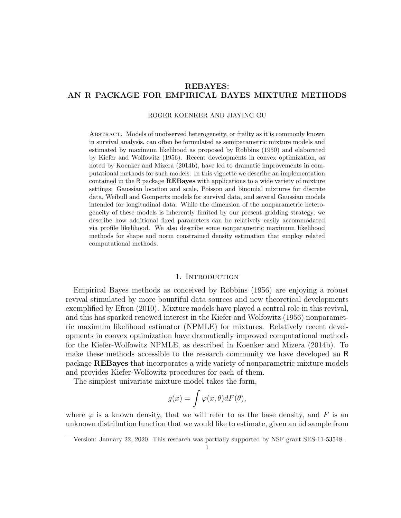# REBAYES: AN R PACKAGE FOR EMPIRICAL BAYES MIXTURE METHODS

#### ROGER KOENKER AND JIAYING GU

Abstract. Models of unobserved heterogeneity, or frailty as it is commonly known in survival analysis, can often be formulated as semiparametric mixture models and estimated by maximum likelihood as proposed by Robbins (1950) and elaborated by Kiefer and Wolfowitz (1956). Recent developments in convex optimization, as noted by Koenker and Mizera (2014b), have led to dramatic improvements in computational methods for such models. In this vignette we describe an implementation contained in the R package REBayes with applications to a wide variety of mixture settings: Gaussian location and scale, Poisson and binomial mixtures for discrete data, Weibull and Gompertz models for survival data, and several Gaussian models intended for longitudinal data. While the dimension of the nonparametric heterogeneity of these models is inherently limited by our present gridding strategy, we describe how additional fixed parameters can be relatively easily accommodated via profile likelihood. We also describe some nonparametric maximum likelihood methods for shape and norm constrained density estimation that employ related computational methods.

### 1. INTRODUCTION

Empirical Bayes methods as conceived by Robbins (1956) are enjoying a robust revival stimulated by more bountiful data sources and new theoretical developments exemplified by Efron (2010). Mixture models have played a central role in this revival, and this has sparked renewed interest in the Kiefer and Wolfowitz (1956) nonparametric maximum likelihood estimator (NPMLE) for mixtures. Relatively recent developments in convex optimization have dramatically improved computational methods for the Kiefer-Wolfowitz NPMLE, as described in Koenker and Mizera (2014b). To make these methods accessible to the research community we have developed an R package REBayes that incorporates a wide variety of nonparametric mixture models and provides Kiefer-Wolfowitz procedures for each of them.

The simplest univariate mixture model takes the form,

$$
g(x) = \int \varphi(x,\theta) dF(\theta),
$$

where  $\varphi$  is a known density, that we will refer to as the base density, and F is an unknown distribution function that we would like to estimate, given an iid sample from

Version: January 22, 2020. This research was partially supported by NSF grant SES-11-53548.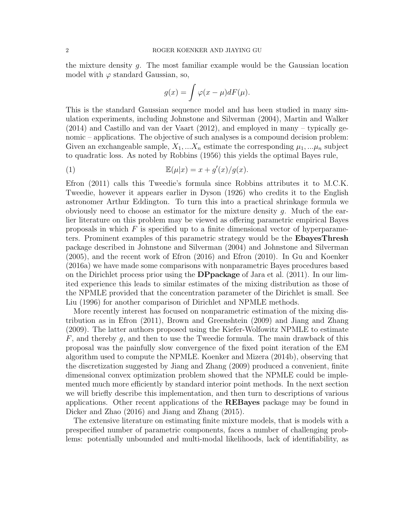the mixture density g. The most familiar example would be the Gaussian location model with  $\varphi$  standard Gaussian, so,

$$
g(x) = \int \varphi(x - \mu) dF(\mu).
$$

This is the standard Gaussian sequence model and has been studied in many simulation experiments, including Johnstone and Silverman (2004), Martin and Walker (2014) and Castillo and van der Vaart (2012), and employed in many – typically genomic – applications. The objective of such analyses is a compound decision problem: Given an exchangeable sample,  $X_1, \ldots, X_n$  estimate the corresponding  $\mu_1, \ldots, \mu_n$  subject to quadratic loss. As noted by Robbins (1956) this yields the optimal Bayes rule,

(1) 
$$
\mathbb{E}(\mu|x) = x + g'(x)/g(x).
$$

Efron (2011) calls this Tweedie's formula since Robbins attributes it to M.C.K. Tweedie, however it appears earlier in Dyson (1926) who credits it to the English astronomer Arthur Eddington. To turn this into a practical shrinkage formula we obviously need to choose an estimator for the mixture density  $g$ . Much of the earlier literature on this problem may be viewed as offering parametric empirical Bayes proposals in which  $F$  is specified up to a finite dimensional vector of hyperparameters. Prominent examples of this parametric strategy would be the EbayesThresh package described in Johnstone and Silverman (2004) and Johnstone and Silverman (2005), and the recent work of Efron (2016) and Efron (2010). In Gu and Koenker (2016a) we have made some comparisons with nonparametric Bayes procedures based on the Dirichlet process prior using the DPpackage of Jara et al. (2011). In our limited experience this leads to similar estimates of the mixing distribution as those of the NPMLE provided that the concentration parameter of the Dirichlet is small. See Liu (1996) for another comparison of Dirichlet and NPMLE methods.

More recently interest has focused on nonparametric estimation of the mixing distribution as in Efron (2011), Brown and Greenshtein (2009) and Jiang and Zhang (2009). The latter authors proposed using the Kiefer-Wolfowitz NPMLE to estimate  $F$ , and thereby q, and then to use the Tweedie formula. The main drawback of this proposal was the painfully slow convergence of the fixed point iteration of the EM algorithm used to compute the NPMLE. Koenker and Mizera (2014b), observing that the discretization suggested by Jiang and Zhang (2009) produced a convenient, finite dimensional convex optimization problem showed that the NPMLE could be implemented much more efficiently by standard interior point methods. In the next section we will briefly describe this implementation, and then turn to descriptions of various applications. Other recent applications of the REBayes package may be found in Dicker and Zhao (2016) and Jiang and Zhang (2015).

The extensive literature on estimating finite mixture models, that is models with a prespecified number of parametric components, faces a number of challenging problems: potentially unbounded and multi-modal likelihoods, lack of identifiability, as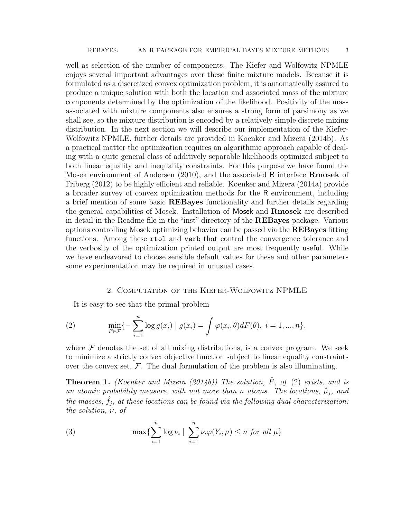well as selection of the number of components. The Kiefer and Wolfowitz NPMLE enjoys several important advantages over these finite mixture models. Because it is formulated as a discretized convex optimization problem, it is automatically assured to produce a unique solution with both the location and associated mass of the mixture components determined by the optimization of the likelihood. Positivity of the mass associated with mixture components also ensures a strong form of parsimony as we shall see, so the mixture distribution is encoded by a relatively simple discrete mixing distribution. In the next section we will describe our implementation of the Kiefer-Wolfowitz NPMLE, further details are provided in Koenker and Mizera (2014b). As a practical matter the optimization requires an algorithmic approach capable of dealing with a quite general class of additively separable likelihoods optimized subject to both linear equality and inequality constraints. For this purpose we have found the Mosek environment of Andersen (2010), and the associated R interface Rmosek of Friberg (2012) to be highly efficient and reliable. Koenker and Mizera (2014a) provide a broader survey of convex optimization methods for the R environment, including a brief mention of some basic REBayes functionality and further details regarding the general capabilities of Mosek. Installation of Mosek and Rmosek are described in detail in the Readme file in the "inst" directory of the REBayes package. Various options controlling Mosek optimizing behavior can be passed via the REBayes fitting functions. Among these rtol and verb that control the convergence tolerance and the verbosity of the optimization printed output are most frequently useful. While we have endeavored to choose sensible default values for these and other parameters some experimentation may be required in unusual cases.

### 2. Computation of the Kiefer-Wolfowitz NPMLE

It is easy to see that the primal problem

(2) 
$$
\min_{F \in \mathcal{F}} \{-\sum_{i=1}^n \log g(x_i) \mid g(x_i) = \int \varphi(x_i, \theta) dF(\theta), \ i = 1, ..., n\},\
$$

where  $\mathcal F$  denotes the set of all mixing distributions, is a convex program. We seek to minimize a strictly convex objective function subject to linear equality constraints over the convex set,  $\mathcal{F}$ . The dual formulation of the problem is also illuminating.

**Theorem 1.** (Koenker and Mizera (2014b)) The solution,  $\hat{F}$ , of (2) exists, and is an atomic probability measure, with not more than n atoms. The locations,  $\hat{\mu}_j$ , and the masses,  $\hat{f}_j$ , at these locations can be found via the following dual characterization: the solution,  $\hat{\nu}$ , of

(3) 
$$
\max \{ \sum_{i=1}^n \log \nu_i \mid \sum_{i=1}^n \nu_i \varphi(Y_i, \mu) \leq n \text{ for all } \mu \}
$$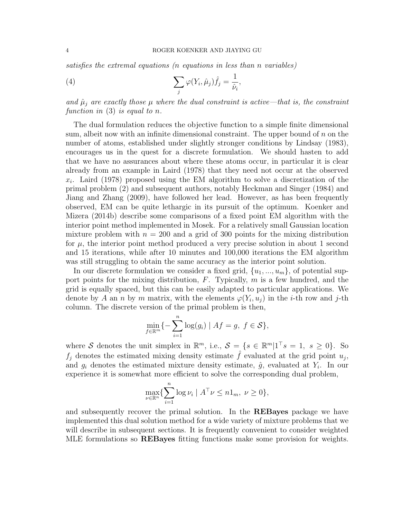satisfies the extremal equations (n equations in less than n variables)

(4) 
$$
\sum_{j} \varphi(Y_i, \hat{\mu}_j) \hat{f}_j = \frac{1}{\hat{\nu}_i},
$$

and  $\hat{\mu}_j$  are exactly those  $\mu$  where the dual constraint is active—that is, the constraint function in  $(3)$  is equal to n.

The dual formulation reduces the objective function to a simple finite dimensional sum, albeit now with an infinite dimensional constraint. The upper bound of  $n$  on the number of atoms, established under slightly stronger conditions by Lindsay (1983), encourages us in the quest for a discrete formulation. We should hasten to add that we have no assurances about where these atoms occur, in particular it is clear already from an example in Laird (1978) that they need not occur at the observed  $x_i$ . Laird (1978) proposed using the EM algorithm to solve a discretization of the primal problem (2) and subsequent authors, notably Heckman and Singer (1984) and Jiang and Zhang (2009), have followed her lead. However, as has been frequently observed, EM can be quite lethargic in its pursuit of the optimum. Koenker and Mizera (2014b) describe some comparisons of a fixed point EM algorithm with the interior point method implemented in Mosek. For a relatively small Gaussian location mixture problem with  $n = 200$  and a grid of 300 points for the mixing distribution for  $\mu$ , the interior point method produced a very precise solution in about 1 second and 15 iterations, while after 10 minutes and 100,000 iterations the EM algorithm was still struggling to obtain the same accuracy as the interior point solution.

In our discrete formulation we consider a fixed grid,  $\{u_1, ..., u_m\}$ , of potential support points for the mixing distribution,  $F$ . Typically,  $m$  is a few hundred, and the grid is equally spaced, but this can be easily adapted to particular applications. We denote by A an n by m matrix, with the elements  $\varphi(Y_i, u_j)$  in the *i*-th row and j-th column. The discrete version of the primal problem is then,

$$
\min_{f \in \mathbb{R}^m} \{-\sum_{i=1}^n \log(g_i) \mid Af = g, \ f \in \mathcal{S}\},\
$$

where S denotes the unit simplex in  $\mathbb{R}^m$ , i.e.,  $S = \{s \in \mathbb{R}^m | 1^{\top} s = 1, s \geq 0\}$ . So  $f_j$  denotes the estimated mixing density estimate  $\hat{f}$  evaluated at the grid point  $u_j$ , and  $g_i$  denotes the estimated mixture density estimate,  $\hat{g}$ , evaluated at  $Y_i$ . In our experience it is somewhat more efficient to solve the corresponding dual problem,

$$
\max_{\nu \in \mathbb{R}^n} \{ \sum_{i=1}^n \log \nu_i \mid A^\top \nu \le n \mathbb{1}_m, \ \nu \ge 0 \},\
$$

and subsequently recover the primal solution. In the REBayes package we have implemented this dual solution method for a wide variety of mixture problems that we will describe in subsequent sections. It is frequently convenient to consider weighted MLE formulations so REBayes fitting functions make some provision for weights.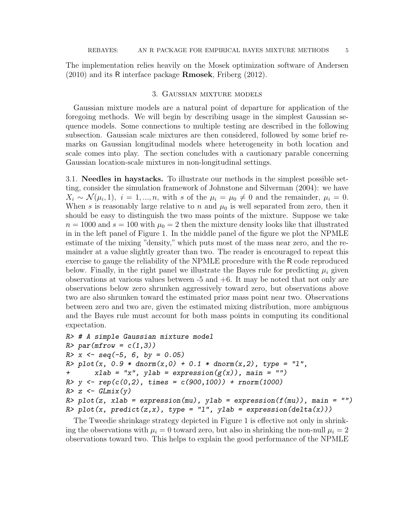The implementation relies heavily on the Mosek optimization software of Andersen (2010) and its R interface package Rmosek, Friberg (2012).

## 3. Gaussian mixture models

Gaussian mixture models are a natural point of departure for application of the foregoing methods. We will begin by describing usage in the simplest Gaussian sequence models. Some connections to multiple testing are described in the following subsection. Gaussian scale mixtures are then considered, followed by some brief remarks on Gaussian longitudinal models where heterogeneity in both location and scale comes into play. The section concludes with a cautionary parable concerning Gaussian location-scale mixtures in non-longitudinal settings.

3.1. Needles in haystacks. To illustrate our methods in the simplest possible setting, consider the simulation framework of Johnstone and Silverman (2004): we have  $X_i \sim \mathcal{N}(\mu_i, 1), i = 1, ..., n$ , with s of the  $\mu_i = \mu_0 \neq 0$  and the remainder,  $\mu_i = 0$ . When s is reasonably large relative to n and  $\mu_0$  is well separated from zero, then it should be easy to distinguish the two mass points of the mixture. Suppose we take  $n = 1000$  and  $s = 100$  with  $\mu_0 = 2$  then the mixture density looks like that illustrated in in the left panel of Figure 1. In the middle panel of the figure we plot the NPMLE estimate of the mixing "density," which puts most of the mass near zero, and the remainder at a value slightly greater than two. The reader is encouraged to repeat this exercise to gauge the reliability of the NPMLE procedure with the R code reproduced below. Finally, in the right panel we illustrate the Bayes rule for predicting  $\mu_i$  given observations at various values between  $-5$  and  $+6$ . It may be noted that not only are observations below zero shrunken aggressively toward zero, but observations above two are also shrunken toward the estimated prior mass point near two. Observations between zero and two are, given the estimated mixing distribution, more ambiguous and the Bayes rule must account for both mass points in computing its conditional expectation.

```
R> # A simple Gaussian mixture model
R> par(mfrow = c(1,3))
R > x \le - \text{seq}(-5, 6, \text{ by } = 0.05)R> plot(x, 0.9 * dnorm(x,0) + 0.1 * dnorm(x,2), type = "1",
+ xlab = "x", ylab = expression(g(x)), main = "")R > y \leftarrow rep(c(0,2), times = c(900,100)) + rnorm(1000)R > z \leftarrow GLmix(y)R> plot(z, xlab = expression(mu), ylab = expression(f(mu)), main = "")
R> plot(x, predict(z,x), type = "1", ylab = expression(delta(x)))
```
The Tweedie shrinkage strategy depicted in Figure 1 is effective not only in shrinking the observations with  $\mu_i = 0$  toward zero, but also in shrinking the non-null  $\mu_i = 2$ observations toward two. This helps to explain the good performance of the NPMLE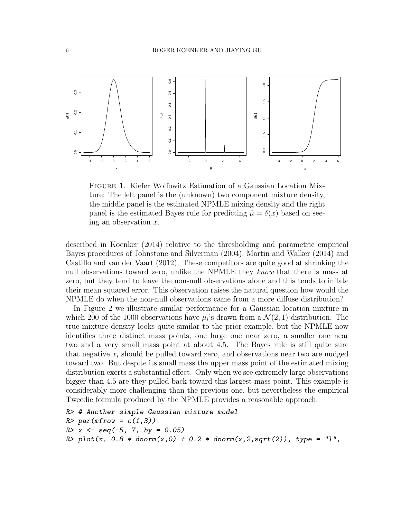

Figure 1. Kiefer Wolfowitz Estimation of a Gaussian Location Mixture: The left panel is the (unknown) two component mixture density, the middle panel is the estimated NPMLE mixing density and the right panel is the estimated Bayes rule for predicting  $\hat{\mu} = \delta(x)$  based on seeing an observation  $x$ .

described in Koenker (2014) relative to the thresholding and parametric empirical Bayes procedures of Johnstone and Silverman (2004), Martin and Walker (2014) and Castillo and van der Vaart (2012). These competitors are quite good at shrinking the null observations toward zero, unlike the NPMLE they know that there is mass at zero, but they tend to leave the non-null observations alone and this tends to inflate their mean squared error. This observation raises the natural question how would the NPMLE do when the non-null observations came from a more diffuse distribution?

In Figure 2 we illustrate similar performance for a Gaussian location mixture in which 200 of the 1000 observations have  $\mu_i$ 's drawn from a  $\mathcal{N}(2,1)$  distribution. The true mixture density looks quite similar to the prior example, but the NPMLE now identifies three distinct mass points, one large one near zero, a smaller one near two and a very small mass point at about 4.5. The Bayes rule is still quite sure that negative  $x_i$  should be pulled toward zero, and observations near two are nudged toward two. But despite its small mass the upper mass point of the estimated mixing distribution exerts a substantial effect. Only when we see extremely large observations bigger than 4.5 are they pulled back toward this largest mass point. This example is considerably more challenging than the previous one, but nevertheless the empirical Tweedie formula produced by the NPMLE provides a reasonable approach.

```
R> # Another simple Gaussian mixture model
R > par(mfrow = c(1,3))R > x < - \text{seq}(-5, 7, \text{ by } = 0.05)R> plot(x, 0.8 * donor(x, 0) + 0.2 * donor(x, 2, sqrt(2)), type = "1",
```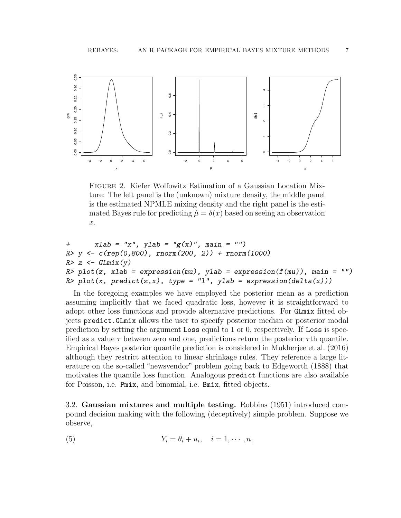

Figure 2. Kiefer Wolfowitz Estimation of a Gaussian Location Mixture: The left panel is the (unknown) mixture density, the middle panel is the estimated NPMLE mixing density and the right panel is the estimated Bayes rule for predicting  $\hat{\mu} = \delta(x)$  based on seeing an observation x.

```
+ xlab = "x", ylab = "g(x)", main = "")R > y \leftarrow c(rep(0,800), rnorm(200, 2)) + rnorm(1000)R > z \leftarrow GLmix(y)R> plot(z, xlab = expression(mu), ylab = expression(f(mu)), main = "")
R> plot(x, predict(z,x), type = "1", ylab = expression(delta(x)))
```
In the foregoing examples we have employed the posterior mean as a prediction assuming implicitly that we faced quadratic loss, however it is straightforward to adopt other loss functions and provide alternative predictions. For GLmix fitted objects predict.GLmix allows the user to specify posterior median or posterior modal prediction by setting the argument Loss equal to 1 or 0, respectively. If Loss is specified as a value  $\tau$  between zero and one, predictions return the posterior  $\tau$ th quantile. Empirical Bayes posterior quantile prediction is considered in Mukherjee et al. (2016) although they restrict attention to linear shrinkage rules. They reference a large literature on the so-called "newsvendor" problem going back to Edgeworth (1888) that motivates the quantile loss function. Analogous predict functions are also available for Poisson, i.e. Pmix, and binomial, i.e. Bmix, fitted objects.

3.2. Gaussian mixtures and multiple testing. Robbins (1951) introduced compound decision making with the following (deceptively) simple problem. Suppose we observe,

(5) 
$$
Y_i = \theta_i + u_i, \quad i = 1, \cdots, n,
$$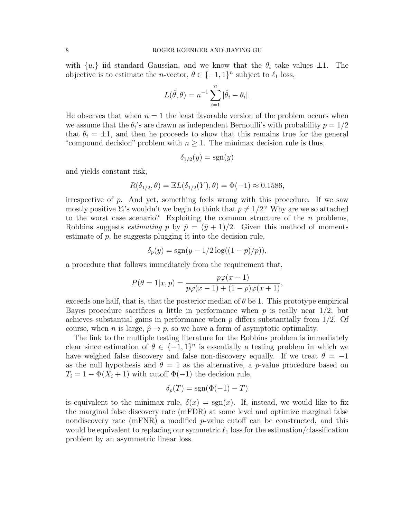with  $\{u_i\}$  iid standard Gaussian, and we know that the  $\theta_i$  take values  $\pm 1$ . The objective is to estimate the *n*-vector,  $\theta \in \{-1, 1\}^n$  subject to  $\ell_1$  loss,

$$
L(\hat{\theta}, \theta) = n^{-1} \sum_{i=1}^{n} |\hat{\theta}_i - \theta_i|.
$$

He observes that when  $n = 1$  the least favorable version of the problem occurs when we assume that the  $\theta_i$ 's are drawn as independent Bernoulli's with probability  $p = 1/2$ that  $\theta_i = \pm 1$ , and then he proceeds to show that this remains true for the general "compound decision" problem with  $n \geq 1$ . The minimax decision rule is thus,

$$
\delta_{1/2}(y) = \text{sgn}(y)
$$

and yields constant risk,

$$
R(\delta_{1/2}, \theta) = \mathbb{E}L(\delta_{1/2}(Y), \theta) = \Phi(-1) \approx 0.1586,
$$

irrespective of p. And yet, something feels wrong with this procedure. If we saw mostly positive  $Y_i$ 's wouldn't we begin to think that  $p \neq 1/2$ ? Why are we so attached to the worst case scenario? Exploiting the common structure of the  $n$  problems, Robbins suggests *estimating* p by  $\hat{p} = (\bar{y} + 1)/2$ . Given this method of moments estimate of  $p$ , he suggests plugging it into the decision rule,

$$
\delta_p(y) = \text{sgn}(y - 1/2\log((1-p)/p)),
$$

a procedure that follows immediately from the requirement that,

$$
P(\theta = 1 | x, p) = \frac{p\varphi(x - 1)}{p\varphi(x - 1) + (1 - p)\varphi(x + 1)},
$$

exceeds one half, that is, that the posterior median of  $\theta$  be 1. This prototype empirical Bayes procedure sacrifices a little in performance when  $p$  is really near  $1/2$ , but achieves substantial gains in performance when  $p$  differs substantially from  $1/2$ . Of course, when n is large,  $\hat{p} \to p$ , so we have a form of asymptotic optimality.

The link to the multiple testing literature for the Robbins problem is immediately clear since estimation of  $\theta \in \{-1,1\}^n$  is essentially a testing problem in which we have weighed false discovery and false non-discovery equally. If we treat  $\theta = -1$ as the null hypothesis and  $\theta = 1$  as the alternative, a p-value procedure based on  $T_i = 1 - \Phi(X_i + 1)$  with cutoff  $\Phi(-1)$  the decision rule,

$$
\delta_p(T) = \text{sgn}(\Phi(-1) - T)
$$

is equivalent to the minimax rule,  $\delta(x) = \text{sgn}(x)$ . If, instead, we would like to fix the marginal false discovery rate (mFDR) at some level and optimize marginal false nondiscovery rate  $(mFNR)$  a modified p-value cutoff can be constructed, and this would be equivalent to replacing our symmetric  $\ell_1$  loss for the estimation/classification problem by an asymmetric linear loss.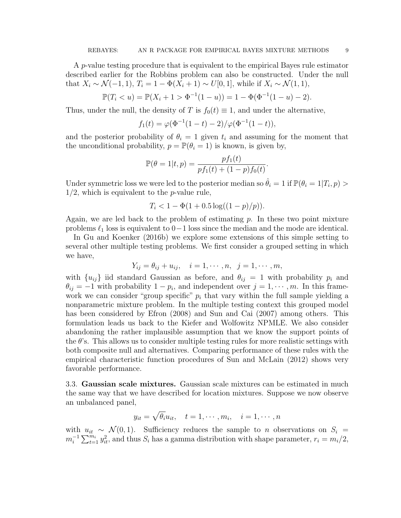A p-value testing procedure that is equivalent to the empirical Bayes rule estimator described earlier for the Robbins problem can also be constructed. Under the null that  $X_i \sim \mathcal{N}(-1, 1), T_i = 1 - \Phi(X_i + 1) \sim U[0, 1],$  while if  $X_i \sim \mathcal{N}(1, 1),$ 

$$
\mathbb{P}(T_i < u) = \mathbb{P}(X_i + 1 > \Phi^{-1}(1 - u)) = 1 - \Phi(\Phi^{-1}(1 - u) - 2).
$$

Thus, under the null, the density of T is  $f_0(t) \equiv 1$ , and under the alternative,

$$
f_1(t) = \varphi(\Phi^{-1}(1-t) - 2) / \varphi(\Phi^{-1}(1-t)),
$$

and the posterior probability of  $\theta_i = 1$  given  $t_i$  and assuming for the moment that the unconditional probability,  $p = \mathbb{P}(\theta_i = 1)$  is known, is given by,

$$
\mathbb{P}(\theta = 1|t, p) = \frac{pf_1(t)}{pf_1(t) + (1-p)f_0(t)}.
$$

Under symmetric loss we were led to the posterior median so  $\hat{\theta}_i = 1$  if  $\mathbb{P}(\theta_i = 1 | T_i, p) >$  $1/2$ , which is equivalent to the *p*-value rule,

$$
T_i < 1 - \Phi(1 + 0.5\log((1 - p)/p)).
$$

Again, we are led back to the problem of estimating  $p$ . In these two point mixture problems  $\ell_1$  loss is equivalent to 0−1 loss since the median and the mode are identical.

In Gu and Koenker (2016b) we explore some extensions of this simple setting to several other multiple testing problems. We first consider a grouped setting in which we have,

$$
Y_{ij} = \theta_{ij} + u_{ij}, \quad i = 1, \cdots, n, \quad j = 1, \cdots, m,
$$

with  $\{u_{ij}\}\$ iid standard Gaussian as before, and  $\theta_{ij} = 1$  with probability  $p_i$  and  $\theta_{ij} = -1$  with probability  $1 - p_i$ , and independent over  $j = 1, \dots, m$ . In this framework we can consider "group specific"  $p_i$  that vary within the full sample yielding a nonparametric mixture problem. In the multiple testing context this grouped model has been considered by Efron (2008) and Sun and Cai (2007) among others. This formulation leads us back to the Kiefer and Wolfowitz NPMLE. We also consider abandoning the rather implausible assumption that we know the support points of the  $\theta$ 's. This allows us to consider multiple testing rules for more realistic settings with both composite null and alternatives. Comparing performance of these rules with the empirical characteristic function procedures of Sun and McLain (2012) shows very favorable performance.

3.3. Gaussian scale mixtures. Gaussian scale mixtures can be estimated in much the same way that we have described for location mixtures. Suppose we now observe an unbalanced panel,

$$
y_{it} = \sqrt{\theta_i} u_{it}, \quad t = 1, \cdots, m_i, \quad i = 1, \cdots, n
$$

with  $u_{it} \sim \mathcal{N}(0, 1)$ . Sufficiency reduces the sample to *n* observations on  $S_i =$  $m_i^{-1} \sum_{t=1}^{m_i} y_{it}^2$ , and thus  $S_i$  has a gamma distribution with shape parameter,  $r_i = m_i/2$ ,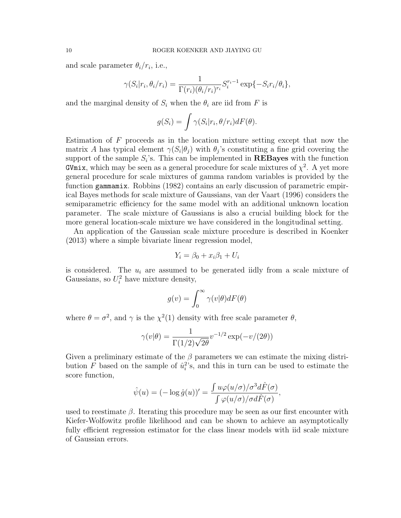and scale parameter  $\theta_i/r_i$ , i.e.,

$$
\gamma(S_i|r_i, \theta_i/r_i) = \frac{1}{\Gamma(r_i)(\theta_i/r_i)^{r_i}} S_i^{r_i - 1} \exp\{-S_i r_i/\theta_i\},\
$$

and the marginal density of  $S_i$  when the  $\theta_i$  are iid from F is

$$
g(S_i) = \int \gamma(S_i|r_i, \theta/r_i) dF(\theta).
$$

Estimation of  $F$  proceeds as in the location mixture setting except that now the matrix A has typical element  $\gamma(S_i|\theta_j)$  with  $\theta_j$ 's constituting a fine grid covering the support of the sample  $S_i$ 's. This can be implemented in **REBayes** with the function GVmix, which may be seen as a general procedure for scale mixtures of  $\chi^2$ . A yet more general procedure for scale mixtures of gamma random variables is provided by the function gammamix. Robbins (1982) contains an early discussion of parametric empirical Bayes methods for scale mixture of Gaussians, van der Vaart (1996) considers the semiparametric efficiency for the same model with an additional unknown location parameter. The scale mixture of Gaussians is also a crucial building block for the more general location-scale mixture we have considered in the longitudinal setting.

An application of the Gaussian scale mixture procedure is described in Koenker (2013) where a simple bivariate linear regression model,

$$
Y_i = \beta_0 + x_i \beta_1 + U_i
$$

is considered. The  $u_i$  are assumed to be generated iidly from a scale mixture of Gaussians, so  $U_i^2$  have mixture density,

$$
g(v) = \int_0^\infty \gamma(v|\theta) dF(\theta)
$$

where  $\theta = \sigma^2$ , and  $\gamma$  is the  $\chi^2(1)$  density with free scale parameter  $\theta$ ,

$$
\gamma(v|\theta) = \frac{1}{\Gamma(1/2)\sqrt{2\theta}} v^{-1/2} \exp(-v/(2\theta))
$$

Given a preliminary estimate of the  $\beta$  parameters we can estimate the mixing distribution F based on the sample of  $\hat{u}_i^2$ 's, and this in turn can be used to estimate the score function,

$$
\hat{\psi}(u) = (-\log \hat{g}(u))' = \frac{\int u\varphi(u/\sigma)/\sigma^3 d\hat{F}(\sigma)}{\int \varphi(u/\sigma)/\sigma d\hat{F}(\sigma)},
$$

used to reestimate  $\beta$ . Iterating this procedure may be seen as our first encounter with Kiefer-Wolfowitz profile likelihood and can be shown to achieve an asymptotically fully efficient regression estimator for the class linear models with iid scale mixture of Gaussian errors.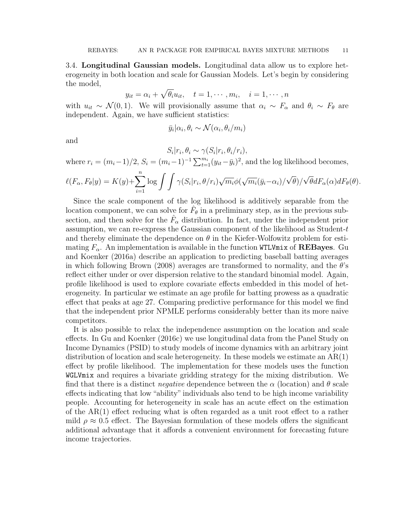3.4. Longitudinal Gaussian models. Longitudinal data allow us to explore heterogeneity in both location and scale for Gaussian Models. Let's begin by considering the model,

$$
y_{it} = \alpha_i + \sqrt{\theta_i} u_{it}, \quad t = 1, \cdots, m_i, \quad i = 1, \cdots, n
$$

with  $u_{it} \sim \mathcal{N}(0, 1)$ . We will provisionally assume that  $\alpha_i \sim F_\alpha$  and  $\theta_i \sim F_\theta$  are independent. Again, we have sufficient statistics:

$$
\bar{y}_i | \alpha_i, \theta_i \sim \mathcal{N}(\alpha_i, \theta_i / m_i)
$$

and

$$
S_i|r_i, \theta_i \sim \gamma(S_i|r_i, \theta_i/r_i),
$$

where  $r_i = (m_i - 1)/2$ ,  $S_i = (m_i - 1)^{-1} \sum_{t=1}^{m_i} (y_{it} - \bar{y}_i)^2$ , and the log likelihood becomes,

$$
\ell(F_{\alpha}, F_{\theta}|y) = K(y) + \sum_{i=1}^{n} \log \int \int \gamma(S_i|r_i, \theta/r_i) \sqrt{m_i} \phi(\sqrt{m_i}(\bar{y}_i - \alpha_i) / \sqrt{\theta}) / \sqrt{\theta} dF_{\alpha}(\alpha) dF_{\theta}(\theta).
$$

Since the scale component of the log likelihood is additively separable from the location component, we can solve for  $\hat{F}_{\theta}$  in a preliminary step, as in the previous subsection, and then solve for the  $\hat{F}_{\alpha}$  distribution. In fact, under the independent prior assumption, we can re-express the Gaussian component of the likelihood as Student-t and thereby eliminate the dependence on  $\theta$  in the Kiefer-Wolfowitz problem for estimating  $F_{\alpha}$ . An implementation is available in the function WTLVmix of **REBayes**. Gu and Koenker (2016a) describe an application to predicting baseball batting averages in which following Brown (2008) averages are transformed to normality, and the  $\theta$ 's reflect either under or over dispersion relative to the standard binomial model. Again, profile likelihood is used to explore covariate effects embedded in this model of heterogeneity. In particular we estimate an age profile for batting prowess as a quadratic effect that peaks at age 27. Comparing predictive performance for this model we find that the independent prior NPMLE performs considerably better than its more naive competitors.

It is also possible to relax the independence assumption on the location and scale effects. In Gu and Koenker (2016c) we use longitudinal data from the Panel Study on Income Dynamics (PSID) to study models of income dynamics with an arbitrary joint distribution of location and scale heterogeneity. In these models we estimate an  $AR(1)$ effect by profile likelihood. The implementation for these models uses the function WGLVmix and requires a bivariate gridding strategy for the mixing distribution. We find that there is a distinct *negative* dependence between the  $\alpha$  (location) and  $\theta$  scale effects indicating that low "ability" individuals also tend to be high income variability people. Accounting for heterogeneity in scale has an acute effect on the estimation of the AR(1) effect reducing what is often regarded as a unit root effect to a rather mild  $\rho \approx 0.5$  effect. The Bayesian formulation of these models offers the significant additional advantage that it affords a convenient environment for forecasting future income trajectories.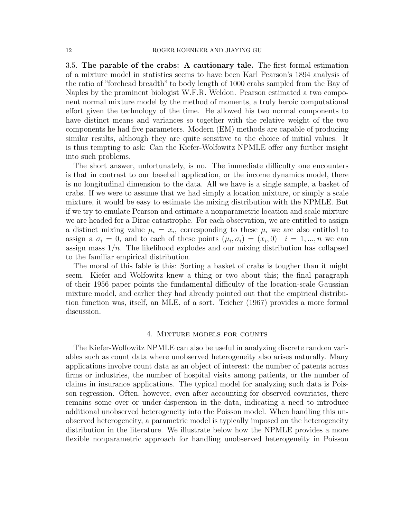3.5. The parable of the crabs: A cautionary tale. The first formal estimation of a mixture model in statistics seems to have been Karl Pearson's 1894 analysis of the ratio of "forehead breadth" to body length of 1000 crabs sampled from the Bay of Naples by the prominent biologist W.F.R. Weldon. Pearson estimated a two component normal mixture model by the method of moments, a truly heroic computational effort given the technology of the time. He allowed his two normal components to have distinct means and variances so together with the relative weight of the two components he had five parameters. Modern (EM) methods are capable of producing similar results, although they are quite sensitive to the choice of initial values. It is thus tempting to ask: Can the Kiefer-Wolfowitz NPMLE offer any further insight into such problems.

The short answer, unfortunately, is no. The immediate difficulty one encounters is that in contrast to our baseball application, or the income dynamics model, there is no longitudinal dimension to the data. All we have is a single sample, a basket of crabs. If we were to assume that we had simply a location mixture, or simply a scale mixture, it would be easy to estimate the mixing distribution with the NPMLE. But if we try to emulate Pearson and estimate a nonparametric location and scale mixture we are headed for a Dirac catastrophe. For each observation, we are entitled to assign a distinct mixing value  $\mu_i = x_i$ , corresponding to these  $\mu_i$  we are also entitled to assign a  $\sigma_i = 0$ , and to each of these points  $(\mu_i, \sigma_i) = (x_i, 0)$   $i = 1, ..., n$  we can assign mass  $1/n$ . The likelihood explodes and our mixing distribution has collapsed to the familiar empirical distribution.

The moral of this fable is this: Sorting a basket of crabs is tougher than it might seem. Kiefer and Wolfowitz knew a thing or two about this; the final paragraph of their 1956 paper points the fundamental difficulty of the location-scale Gaussian mixture model, and earlier they had already pointed out that the empirical distribution function was, itself, an MLE, of a sort. Teicher (1967) provides a more formal discussion.

### 4. Mixture models for counts

The Kiefer-Wolfowitz NPMLE can also be useful in analyzing discrete random variables such as count data where unobserved heterogeneity also arises naturally. Many applications involve count data as an object of interest: the number of patents across firms or industries, the number of hospital visits among patients, or the number of claims in insurance applications. The typical model for analyzing such data is Poisson regression. Often, however, even after accounting for observed covariates, there remains some over or under-dispersion in the data, indicating a need to introduce additional unobserved heterogeneity into the Poisson model. When handling this unobserved heterogeneity, a parametric model is typically imposed on the heterogeneity distribution in the literature. We illustrate below how the NPMLE provides a more flexible nonparametric approach for handling unobserved heterogeneity in Poisson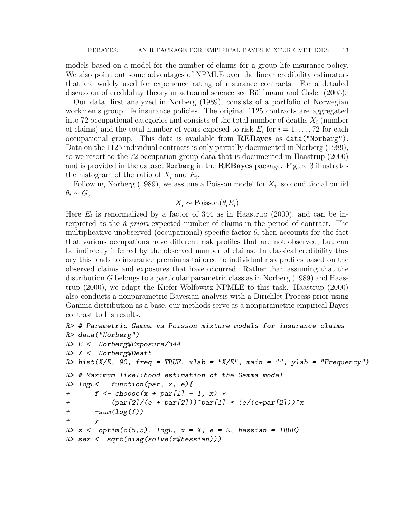models based on a model for the number of claims for a group life insurance policy. We also point out some advantages of NPMLE over the linear credibility estimators that are widely used for experience rating of insurance contracts. For a detailed discussion of credibility theory in actuarial science see Bühlmann and Gisler (2005).

Our data, first analyzed in Norberg (1989), consists of a portfolio of Norwegian workmen's group life insurance policies. The original 1125 contracts are aggregated into 72 occupational categories and consists of the total number of deaths  $X_i$  (number of claims) and the total number of years exposed to risk  $E_i$  for  $i = 1, \ldots, 72$  for each occupational group. This data is available from REBayes as data("Norberg"). Data on the 1125 individual contracts is only partially documented in Norberg (1989), so we resort to the 72 occupation group data that is documented in Haastrup (2000) and is provided in the dataset Norberg in the REBayes package. Figure 3 illustrates the histogram of the ratio of  $X_i$  and  $E_i$ .

Following Norberg  $(1989)$ , we assume a Poisson model for  $X_i$ , so conditional on iid  $\theta_i \sim G$ ,

# $X_i \sim \text{Poisson}(\theta_i E_i)$

Here  $E_i$  is renormalized by a factor of 344 as in Haastrup (2000), and can be interpreted as the  $\dot{a}$  priori expected number of claims in the period of contract. The multiplicative unobserved (occupational) specific factor  $\theta_i$  then accounts for the fact that various occupations have different risk profiles that are not observed, but can be indirectly inferred by the observed number of claims. In classical credibility theory this leads to insurance premiums tailored to individual risk profiles based on the observed claims and exposures that have occurred. Rather than assuming that the distribution G belongs to a particular parametric class as in Norberg (1989) and Haastrup (2000), we adapt the Kiefer-Wolfowitz NPMLE to this task. Haastrup (2000) also conducts a nonparametric Bayesian analysis with a Dirichlet Process prior using Gamma distribution as a base, our methods serve as a nonparametric empirical Bayes contrast to his results.

```
R> # Parametric Gamma vs Poisson mixture models for insurance claims
R> data("Norberg")
R> E <- Norberg$Exposure/344
R> X <- Norberg$Death
R> hist(X/E, 90, freq = TRUE, xlab = "X/E", main = "", ylab = "Frequency")
R> # Maximum likelihood estimation of the Gamma model
R> logL <- function(par, x, e){
+ f \leftarrow \text{choose}(x + \text{par}[1] - 1, x) *+ (par[2]/(e + par[2]))^par[1] * (e/(e+par[2]))^x
+ -sum(log(f))+ }
R > z <- optim(c(5,5), logL, x = X, e = E, hessian = TRUE)
R> sez <- sqrt(diag(solve(z$hessian)))
```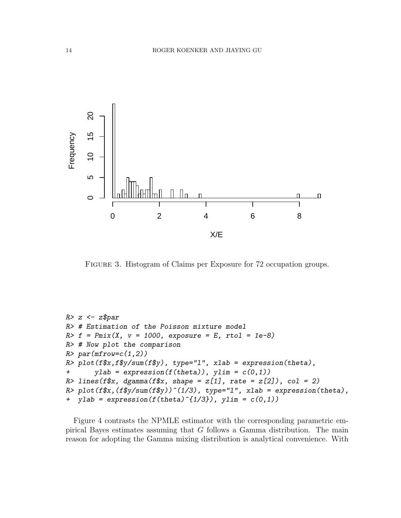

FIGURE 3. Histogram of Claims per Exposure for 72 occupation groups.

```
R > z \leftarrow z\par
R> # Estimation of the Poisson mixture model
R> f = Pmix(X, v = 1000, exposure = E, rt = 1e-8)R> # Now plot the comparison
R> par(mfrow=c(1,2))
R> plot(f$x,f$y/sum(f$y), type="l", xlab = expression(theta),
+ ylab = expression(f(theta)), ylim = c(0,1)R> lines(f$x, dgamma(f$x, shape = z[1], rate = z[2]), col = 2)
R> plot(f$x,(f$y/sum(f$y))^(1/3), type="l", xlab = expression(theta),
+ ylab = expression(f(theta)^{1/3}), ylim = c(0,1))
```
Figure 4 contrasts the NPMLE estimator with the corresponding parametric empirical Bayes estimates assuming that G follows a Gamma distribution. The main reason for adopting the Gamma mixing distribution is analytical convenience. With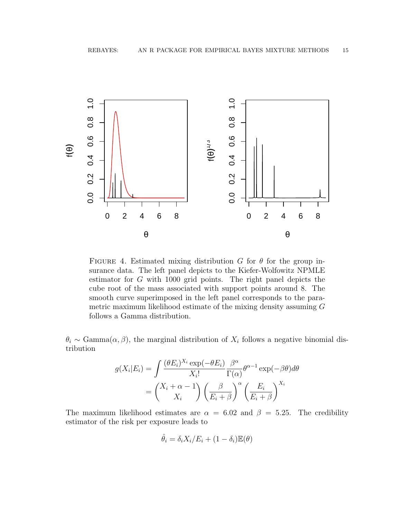

FIGURE 4. Estimated mixing distribution G for  $\theta$  for the group insurance data. The left panel depicts to the Kiefer-Wolfowitz NPMLE estimator for G with 1000 grid points. The right panel depicts the cube root of the mass associated with support points around 8. The smooth curve superimposed in the left panel corresponds to the parametric maximum likelihood estimate of the mixing density assuming G follows a Gamma distribution.

 $\theta_i \sim \text{Gamma}(\alpha, \beta)$ , the marginal distribution of  $X_i$  follows a negative binomial distribution

$$
g(X_i|E_i) = \int \frac{(\theta E_i)^{X_i} \exp(-\theta E_i)}{X_i!} \frac{\beta^{\alpha}}{\Gamma(\alpha)} \theta^{\alpha-1} \exp(-\beta \theta) d\theta
$$

$$
= \begin{pmatrix} X_i + \alpha - 1 \\ X_i \end{pmatrix} \left(\frac{\beta}{E_i + \beta}\right)^{\alpha} \left(\frac{E_i}{E_i + \beta}\right)^{X_i}
$$

The maximum likelihood estimates are  $\alpha = 6.02$  and  $\beta = 5.25$ . The credibility estimator of the risk per exposure leads to

$$
\hat{\theta}_i = \delta_i X_i / E_i + (1 - \delta_i) \mathbb{E}(\theta)
$$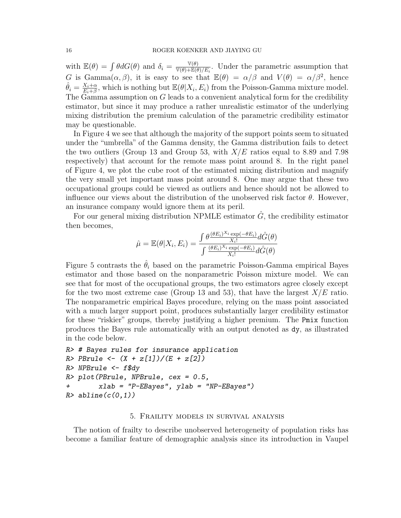with  $\mathbb{E}(\theta) = \int \theta dG(\theta)$  and  $\delta_i = \frac{\mathbb{V}(\theta)}{\mathbb{V}(\theta) + \mathbb{E}(\theta)}$  $\frac{\Psi(\theta)}{\Psi(\theta)+\mathbb{E}(\theta)/E_i}$ . Under the parametric assumption that G is Gamma $(\alpha, \beta)$ , it is easy to see that  $\mathbb{E}(\theta) = \alpha/\beta$  and  $V(\theta) = \alpha/\beta^2$ , hence  $\hat{\theta}_i = \frac{X_i + \alpha}{E_i + \beta}$  $\frac{X_i+\alpha}{E_i+\beta}$ , which is nothing but  $\mathbb{E}(\theta|X_i, E_i)$  from the Poisson-Gamma mixture model. The Gamma assumption on G leads to a convenient analytical form for the credibility estimator, but since it may produce a rather unrealistic estimator of the underlying mixing distribution the premium calculation of the parametric credibility estimator may be questionable.

In Figure 4 we see that although the majority of the support points seem to situated under the "umbrella" of the Gamma density, the Gamma distribution fails to detect the two outliers (Group 13 and Group 53, with  $X/E$  ratios equal to 8.89 and 7.98 respectively) that account for the remote mass point around 8. In the right panel of Figure 4, we plot the cube root of the estimated mixing distribution and magnify the very small yet important mass point around 8. One may argue that these two occupational groups could be viewed as outliers and hence should not be allowed to influence our views about the distribution of the unobserved risk factor  $\theta$ . However, an insurance company would ignore them at its peril.

For our general mixing distribution NPMLE estimator  $\hat{G}$ , the credibility estimator then becomes,

$$
\hat{\mu} = \mathbb{E}(\theta | X_i, E_i) = \frac{\int \theta \frac{(\theta E_i)^{X_i} \exp(-\theta E_i)}{X_i!} d\hat{G}(\theta)}{\int \frac{(\theta E_i)^{X_i} \exp(-\theta E_i)}{X_i!} d\hat{G}(\theta)}
$$

Figure 5 contrasts the  $\hat{\theta}_i$  based on the parametric Poisson-Gamma empirical Bayes estimator and those based on the nonparametric Poisson mixture model. We can see that for most of the occupational groups, the two estimators agree closely except for the two most extreme case (Group 13 and 53), that have the largest  $X/E$  ratio. The nonparametric empirical Bayes procedure, relying on the mass point associated with a much larger support point, produces substantially larger credibility estimator for these "riskier" groups, thereby justifying a higher premium. The Pmix function produces the Bayes rule automatically with an output denoted as dy, as illustrated in the code below.

```
R> # Bayes rules for insurance application
R> PBrule <- (X + z[1])/(E + z[2])R> NPBrule \leq- f$dy
R> plot(PBrule, NPBrule, cex = 0.5,
+ xlab = "P-EBayes", ylab = "NP-EBayes")
R> abline(c(0,1))
```
### 5. Fraility models in survival analysis

The notion of frailty to describe unobserved heterogeneity of population risks has become a familiar feature of demographic analysis since its introduction in Vaupel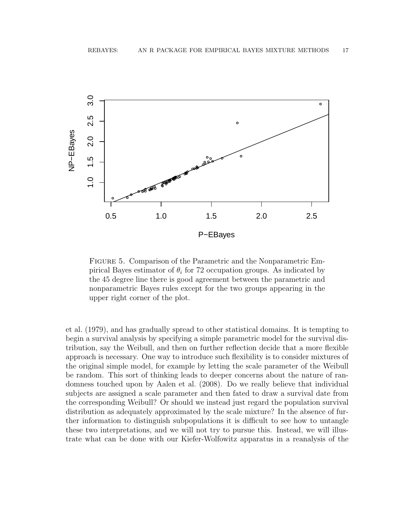

Figure 5. Comparison of the Parametric and the Nonparametric Empirical Bayes estimator of  $\theta_i$  for 72 occupation groups. As indicated by the 45 degree line there is good agreement between the parametric and nonparametric Bayes rules except for the two groups appearing in the upper right corner of the plot.

et al. (1979), and has gradually spread to other statistical domains. It is tempting to begin a survival analysis by specifying a simple parametric model for the survival distribution, say the Weibull, and then on further reflection decide that a more flexible approach is necessary. One way to introduce such flexibility is to consider mixtures of the original simple model, for example by letting the scale parameter of the Weibull be random. This sort of thinking leads to deeper concerns about the nature of randomness touched upon by Aalen et al. (2008). Do we really believe that individual subjects are assigned a scale parameter and then fated to draw a survival date from the corresponding Weibull? Or should we instead just regard the population survival distribution as adequately approximated by the scale mixture? In the absence of further information to distinguish subpopulations it is difficult to see how to untangle these two interpretations, and we will not try to pursue this. Instead, we will illustrate what can be done with our Kiefer-Wolfowitz apparatus in a reanalysis of the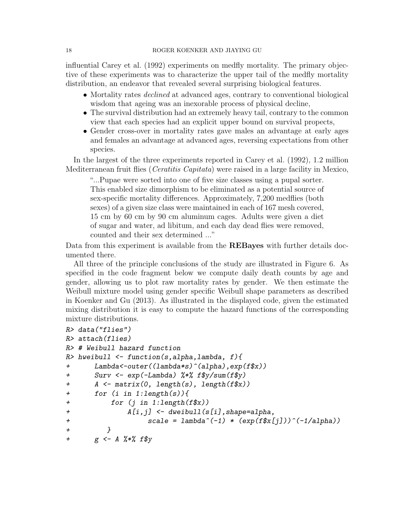influential Carey et al. (1992) experiments on medfly mortality. The primary objective of these experiments was to characterize the upper tail of the medfly mortality distribution, an endeavor that revealed several surprising biological features.

- Mortality rates *declined* at advanced ages, contrary to conventional biological wisdom that ageing was an inexorable process of physical decline,
- The survival distribution had an extremely heavy tail, contrary to the common view that each species had an explicit upper bound on survival propects,
- Gender cross-over in mortality rates gave males an advantage at early ages and females an advantage at advanced ages, reversing expectations from other species.

In the largest of the three experiments reported in Carey et al. (1992), 1.2 million Mediterranean fruit flies (Ceratitis Capitata) were raised in a large facility in Mexico,

"...Pupae were sorted into one of five size classes using a pupal sorter. This enabled size dimorphism to be eliminated as a potential source of sex-specific mortality differences. Approximately, 7,200 medflies (both sexes) of a given size class were maintained in each of 167 mesh covered, 15 cm by 60 cm by 90 cm aluminum cages. Adults were given a diet of sugar and water, ad libitum, and each day dead flies were removed, counted and their sex determined ..."

Data from this experiment is available from the **REBayes** with further details documented there.

All three of the principle conclusions of the study are illustrated in Figure 6. As specified in the code fragment below we compute daily death counts by age and gender, allowing us to plot raw mortality rates by gender. We then estimate the Weibull mixture model using gender specific Weibull shape parameters as described in Koenker and Gu (2013). As illustrated in the displayed code, given the estimated mixing distribution it is easy to compute the hazard functions of the corresponding mixture distributions.

```
R> data("flies")
R> attach(flies)
R> # Weibull hazard function
R> hweibull \leq function(s, alpha, lambda, f){
+ Lambda<-outer((lambda*s)^(alpha),exp(f$x))
+ Surv <- exp(-Lambda) %*% f$y/sum(f$y)
+ A <- matrix(0, length(s), length(f$x))
+ for (i in 1:length(s)){
+ for (j in 1:length(f$x))
+ A[i,j] <- dweibull(s[i],shape=alpha,
+ \qquad \qquad scale = lambda^(-1) * (exp(f$x[j]))^(-1/alpha))
+ }
+ g \leftarrow A \% * \% f \y
```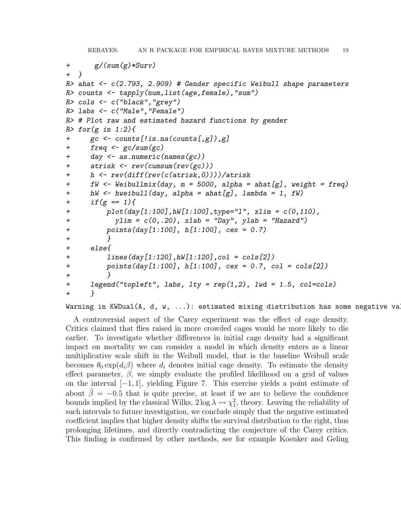```
+ g/(sum(g)*Surv)
+ }
R> ahat <- c(2.793, 2.909) # Gender specific Weibull shape parameters
R> counts <- tapply(num,list(age,female),"sum")
R> cols \leq c("black", "grey")
R> labs <- c("Male","Female")
R> # Plot raw and estimated hazard functions by gender
R> for(g in 1:2){
+ gc <- counts[!is.na(counts[,g]),g]
+ freq <- gc/sum(gc)
+ day <- as.numeric(names(gc))
+ atrisk <- rev(cumsum(rev(gc)))
+ h <- rev(diff(rev(c(atrisk,0))))/atrisk
+ fW \leq Weibullmix(day, m = 5000, alpha = ahat[g], weight = freq)
+ hW <- hweibull(day, alpha = ahat[g], lambda = 1, fW)
+ if(g == 1){
+ plot(day[1:100],hW[1:100],type="l", xlim = c(0,110),
+ ylim = c(0,.20), xlab = "Day", ylab = "Hazard")
+ points(day[1:100], h[1:100], cex = 0.7)
+ }
+ else{
+ lines(day[1:120],hW[1:120],col = cols[2])
+ points(day[1:100], h[1:100], cex = 0.7, col = cols[2])
+ }
+ legend("topleft", labs, lty = rep(1,2), lwd = 1.5, col=cols)
+ }
```
# Warning in KWDual(A, d, w,  $\ldots$ ): estimated mixing distribution has some negative values:

A controversial aspect of the Carey experiment was the effect of cage density. Critics claimed that flies raised in more crowded cages would be more likely to die earlier. To investigate whether differences in initial cage density had a significant impact on mortality we can consider a model in which density enters as a linear multiplicative scale shift in the Weibull model, that is the baseline Weibull scale becomes  $\theta_0 \exp(d_i \beta)$  where  $d_i$  denotes initial cage density. To estimate the density effect parameter,  $\beta$ , we simply evaluate the profiled likelihood on a grid of values on the interval [−1, 1], yielding Figure 7. This exercise yields a point estimate of about  $\hat{\beta} = -0.5$  that is quite precise, at least if we are to believe the confidence bounds implied by the classical Wilks,  $2 \log \lambda \sim \chi_1^2$ , theory. Leaving the reliability of such intervals to future investigation, we conclude simply that the negative estimated coefficient implies that higher density shifts the survival distribution to the right, thus prolonging lifetimes, and directly contradicting the conjecture of the Carey critics. This finding is confirmed by other methods, see for example Koenker and Geling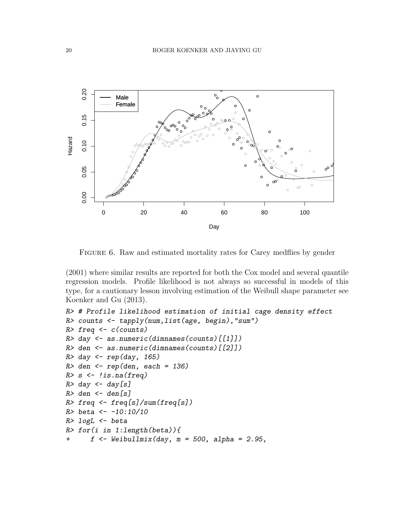

FIGURE 6. Raw and estimated mortality rates for Carey medflies by gender

(2001) where similar results are reported for both the Cox model and several quantile regression models. Profile likelihood is not always so successful in models of this type, for a cautionary lesson involving estimation of the Weibull shape parameter see Koenker and Gu (2013).

```
R> # Profile likelihood estimation of initial cage density effect
R> counts <- tapply(num,list(age, begin),"sum")
R> freq \leq c(counts)
R> day <- as.numeric(dimnames(counts)[[1]])
R> den <- as.numeric(dimnames(counts)[[2]])
R> day \leftarrow rep(day, 165)
R> den \leq rep(den, each = 136)
R > s \leftarrow !is.na(freq)
R> day \leftarrow day [s]R> den \leq den[s]
R> freq \leftarrow freq[s]/sum(freq[s])
R> beta <- -10:10/10
R> logL \leq beta
R> for(i in 1:length(beta)){
+ f \leftarrow \text{Weibullmix}(day, m = 500, alpha = 2.95,
```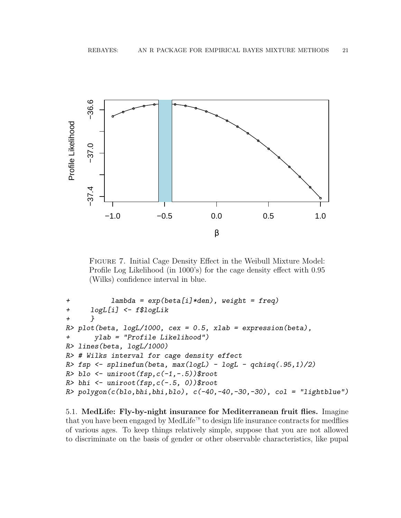

Figure 7. Initial Cage Density Effect in the Weibull Mixture Model: Profile Log Likelihood (in 1000's) for the cage density effect with 0.95 (Wilks) confidence interval in blue.

```
+ lambda = exp(beta[i]*den), weight = freq)
+ logL[i] <- f$logLik
+ }
R> plot(beta, logL/1000, cex = 0.5, xlab = expression(beta),
+ ylab = "Profile Likelihood")
R> lines(beta, logL/1000)
R> # Wilks interval for cage density effect
R> fsp <- splinefun(beta, max(logL) - logL - qchisq(.95,1)/2)
R> blo <- uniroot(fsp,c(-1,-.5))$root
R> bhi \leftarrow uniroot(fsp,c(-.5, 0))$root
R> polygon(c(blo,bhi,bhi,blo), c(-40,-40,-30,-30), col = "lightblue")
```
5.1. MedLife: Fly-by-night insurance for Mediterranean fruit flies. Imagine that you have been engaged by MedLife<sup>™</sup> to design life insurance contracts for medflies of various ages. To keep things relatively simple, suppose that you are not allowed to discriminate on the basis of gender or other observable characteristics, like pupal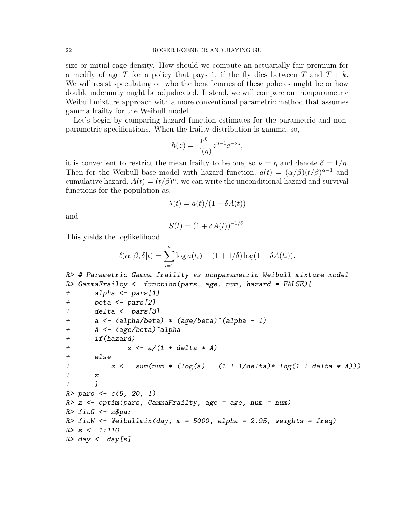size or initial cage density. How should we compute an actuarially fair premium for a medfly of age T for a policy that pays 1, if the fly dies between T and  $T + k$ . We will resist speculating on who the beneficiaries of these policies might be or how double indemnity might be adjudicated. Instead, we will compare our nonparametric Weibull mixture approach with a more conventional parametric method that assumes gamma frailty for the Weibull model.

Let's begin by comparing hazard function estimates for the parametric and nonparametric specifications. When the frailty distribution is gamma, so,

$$
h(z) = \frac{\nu^{\eta}}{\Gamma(\eta)} z^{\eta - 1} e^{-\nu z},
$$

it is convenient to restrict the mean frailty to be one, so  $\nu = \eta$  and denote  $\delta = 1/\eta$ . Then for the Weibull base model with hazard function,  $a(t) = (\alpha/\beta)(t/\beta)^{\alpha-1}$  and cumulative hazard,  $A(t) = (t/\beta)^{\alpha}$ , we can write the unconditional hazard and survival functions for the population as,

$$
\lambda(t) = a(t)/(1 + \delta A(t))
$$

and

$$
S(t) = (1 + \delta A(t))^{-1/\delta}.
$$

This yields the loglikelihood,

$$
\ell(\alpha, \beta, \delta | t) = \sum_{i=1}^{n} \log a(t_i) - (1 + 1/\delta) \log(1 + \delta A(t_i)).
$$

```
R> # Parametric Gamma fraility vs nonparametric Weibull mixture model
R> GammaFrailty \leq function(pars, age, num, hazard = FALSE){
+ alpha <- pars[1]
+ beta <- pars[2]
+ delta <- pars[3]
+ a <- (alpha/beta) * (age/beta)^(alpha - 1)
+ A <- (age/beta)^alpha
+ if(hazard)
+ z \leq a/(1 + delta * A)+ else
+ z \leftarrow -sum(num * (log(a) - (1 + 1/delta)* log(1 + delta * A)))+ z
+ }
R > pars \leftarrow c(5, 20, 1)R> z <- optim(pars, GammaFrailty, age = age, num = num)
R> fitG \leq z$par
R> fitW <- Weibullmix(day, m = 5000, alpha = 2.95, weights = freq)
R > s <- 1:110
R> day \leftarrow day [s]
```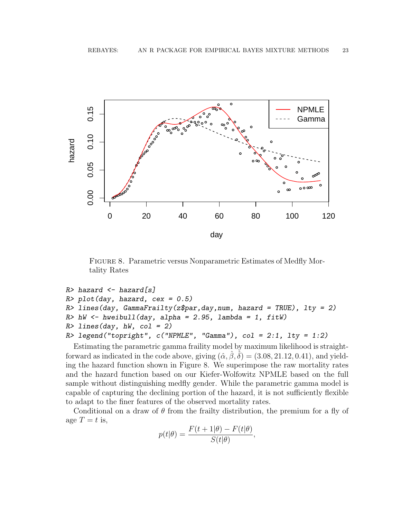

Figure 8. Parametric versus Nonparametric Estimates of Medfly Mortality Rates

```
R> hazard \leq hazard [s]
R> plot(day, hazard, cex = 0.5)
R> lines(day, GammaFrailty(z$par,day,num, hazard = TRUE), lty = 2)
R> hW <- hweibull(day, alpha = 2.95, lambda = 1, fitW)
R > lines(day, hW, col = 2)
R> legend("topright", c("NPMLE", "Gamma"), col = 2:1, lty = 1:2)
```
Estimating the parametric gamma fraility model by maximum likelihood is straightforward as indicated in the code above, giving  $(\hat{\alpha}, \hat{\beta}, \hat{\delta}) = (3.08, 21.12, 0.41)$ , and yielding the hazard function shown in Figure 8. We superimpose the raw mortality rates and the hazard function based on our Kiefer-Wolfowitz NPMLE based on the full sample without distinguishing medfly gender. While the parametric gamma model is capable of capturing the declining portion of the hazard, it is not sufficiently flexible to adapt to the finer features of the observed mortality rates.

Conditional on a draw of  $\theta$  from the frailty distribution, the premium for a fly of age  $T = t$  is,

$$
p(t|\theta) = \frac{F(t+1|\theta) - F(t|\theta)}{S(t|\theta)},
$$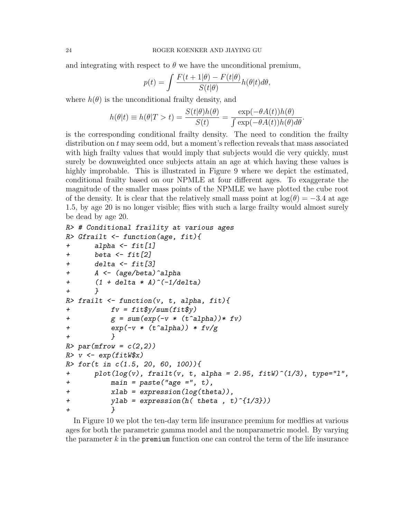and integrating with respect to  $\theta$  we have the unconditional premium,

$$
p(t) = \int \frac{F(t+1|\theta) - F(t|\theta)}{S(t|\theta)} h(\theta|t) d\theta,
$$

where  $h(\theta)$  is the unconditional frailty density, and

$$
h(\theta|t) \equiv h(\theta|T > t) = \frac{S(t|\theta)h(\theta)}{S(t)} = \frac{\exp(-\theta A(t))h(\theta)}{\int \exp(-\theta A(t))h(\theta)d\theta}.
$$

is the corresponding conditional frailty density. The need to condition the frailty distribution on t may seem odd, but a moment's reflection reveals that mass associated with high frailty values that would imply that subjects would die very quickly, must surely be downweighted once subjects attain an age at which having these values is highly improbable. This is illustrated in Figure 9 where we depict the estimated, conditional frailty based on our NPMLE at four different ages. To exaggerate the magnitude of the smaller mass points of the NPMLE we have plotted the cube root of the density. It is clear that the relatively small mass point at  $log(\theta) = -3.4$  at age 1.5, by age 20 is no longer visible; flies with such a large frailty would almost surely be dead by age 20.

```
R> # Conditional fraility at various ages
R> Gfrailt \leq function(age, fit){
+ alpha <- fit[1]
+ beta \leftarrow fit[2]+ delta <- fit[3]
+ A <- (age/beta)^alpha
+ (1 + delta * A)^{-}(-1/delta)+ }
R> frailt <- function(v, t, alpha, fit){
+ f_v = fit\frac{\partial y}{\partial x} fiv = fit\frac{\partial y}{\partial y}+ g = sum(exp(-v * (t^{\texttt{a}1}pha))* fv)+ \exp(-v * (t^{\texttt{a}1}pha)) * fv/g+ }
R> par(mfrow = c(2,2))
R> v <- exp(fitW$x)R> for(t in c(1.5, 20, 60, 100)){
+ plot(log(v), frailt(v, t, alpha = 2.95, fitW)^(1/3), type="l",
+ main = paste("age =", t),
+ xlab = expression(log(theta)),
+ ylab = expression(h(\text{theta}, t)^{1/3})+ }
```
In Figure 10 we plot the ten-day term life insurance premium for medflies at various ages for both the parametric gamma model and the nonparametric model. By varying the parameter  $k$  in the **premium** function one can control the term of the life insurance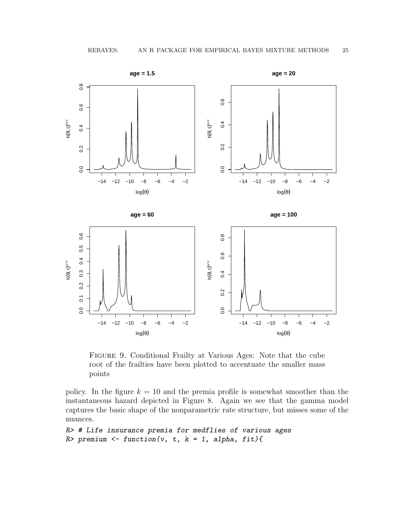

Figure 9. Conditional Frailty at Various Ages: Note that the cube root of the frailties have been plotted to accentuate the smaller mass points

policy. In the figure  $k = 10$  and the premia profile is somewhat smoother than the instantaneous hazard depicted in Figure 8. Again we see that the gamma model captures the basic shape of the nonparametric rate structure, but misses some of the nuances.

```
R> # Life insurance premia for medflies of various ages
R> premium <- function(v, t, k = 1, alpha, fit){
```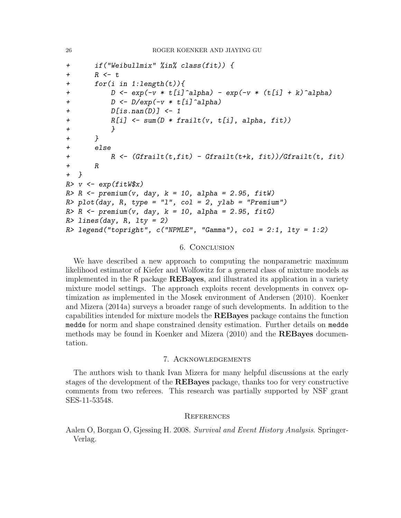```
+ if("Weibullmix" %in% class(fit)) {
+ R \lt + t
+ for(i in 1:length(t)){
+ D \leq - \exp(-v * t[i] \text{`alpha}) - \exp(-v * (t[i] + k) \text{`alpha})+ D <- D/exp(-v * t[i]^alpha)
+ D[is.nan(D)] <- 1
+ R[i] <- sum(D * frailt(v, t[i], alpha, fit))
+ }
+ }
+ else
+ R <- (Gfrailt(t,fit) - Gfrailt(t+k, fit))/Gfrailt(t, fit)
+ R
+ }
R> v <- exp(fitW$x)R > R <- premium(v, day, k = 10, alpha = 2.95, fitW)
R> plot(day, R, type = "1", col = 2, ylab = "Premium")
R > R <- premium(v, day, k = 10, alpha = 2.95, fitG)
R> lines(day, R, lty = 2)
R> legend("topright", c("NPMLE", "Gamma"), col = 2:1, lty = 1:2)
```
# 6. Conclusion

We have described a new approach to computing the nonparametric maximum likelihood estimator of Kiefer and Wolfowitz for a general class of mixture models as implemented in the R package REBayes, and illustrated its application in a variety mixture model settings. The approach exploits recent developments in convex optimization as implemented in the Mosek environment of Andersen (2010). Koenker and Mizera (2014a) surveys a broader range of such developments. In addition to the capabilities intended for mixture models the REBayes package contains the function medde for norm and shape constrained density estimation. Further details on medde methods may be found in Koenker and Mizera (2010) and the REBayes documentation.

## 7. Acknowledgements

The authors wish to thank Ivan Mizera for many helpful discussions at the early stages of the development of the REBayes package, thanks too for very constructive comments from two referees. This research was partially supported by NSF grant SES-11-53548.

# **REFERENCES**

Aalen O, Borgan O, Gjessing H. 2008. Survival and Event History Analysis. Springer-Verlag.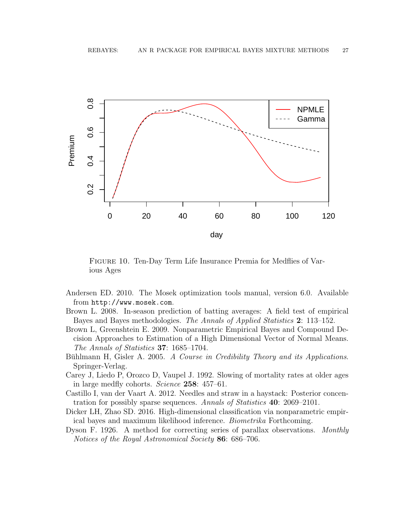

Figure 10. Ten-Day Term Life Insurance Premia for Medflies of Various Ages

- Andersen ED. 2010. The Mosek optimization tools manual, version 6.0. Available from http://www.mosek.com.
- Brown L. 2008. In-season prediction of batting averages: A field test of empirical Bayes and Bayes methodologies. The Annals of Applied Statistics 2: 113–152.
- Brown L, Greenshtein E. 2009. Nonparametric Empirical Bayes and Compound Decision Approaches to Estimation of a High Dimensional Vector of Normal Means. The Annals of Statistics 37: 1685–1704.
- Bühlmann H, Gisler A. 2005. A Course in Credibility Theory and its Applications. Springer-Verlag.
- Carey J, Liedo P, Orozco D, Vaupel J. 1992. Slowing of mortality rates at older ages in large medfly cohorts. Science 258: 457–61.
- Castillo I, van der Vaart A. 2012. Needles and straw in a haystack: Posterior concentration for possibly sparse sequences. Annals of Statistics 40: 2069–2101.
- Dicker LH, Zhao SD. 2016. High-dimensional classification via nonparametric empirical bayes and maximum likelihood inference. Biometrika Forthcoming.
- Dyson F. 1926. A method for correcting series of parallax observations. Monthly Notices of the Royal Astronomical Society 86: 686–706.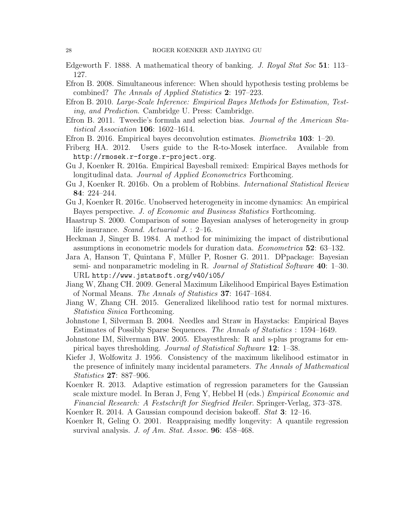Edgeworth F. 1888. A mathematical theory of banking. J. Royal Stat Soc 51: 113– 127.

- Efron B. 2008. Simultaneous inference: When should hypothesis testing problems be combined? The Annals of Applied Statistics 2: 197–223.
- Efron B. 2010. Large-Scale Inference: Empirical Bayes Methods for Estimation, Testing, and Prediction. Cambridge U. Press: Cambridge.
- Efron B. 2011. Tweedie's formula and selection bias. Journal of the American Statistical Association 106: 1602–1614.
- Efron B. 2016. Empirical bayes deconvolution estimates. Biometrika 103: 1–20.
- Friberg HA. 2012. Users guide to the R-to-Mosek interface. Available from http://rmosek.r-forge.r-project.org.
- Gu J, Koenker R. 2016a. Empirical Bayesball remixed: Empirical Bayes methods for longitudinal data. Journal of Applied Econometrics Forthcoming.
- Gu J, Koenker R. 2016b. On a problem of Robbins. International Statistical Review 84: 224–244.
- Gu J, Koenker R. 2016c. Unobserved heterogeneity in income dynamics: An empirical Bayes perspective. J. of Economic and Business Statistics Forthcoming.
- Haastrup S. 2000. Comparison of some Bayesian analyses of heterogeneity in group life insurance. Scand. Actuarial J. : 2-16.
- Heckman J, Singer B. 1984. A method for minimizing the impact of distributional assumptions in econometric models for duration data. Econometrica 52: 63–132.
- Jara A, Hanson T, Quintana F, Muller P, Rosner G. 2011. DPpackage: Bayesian ¨ semi- and nonparametric modeling in R. Journal of Statistical Software 40: 1–30. URL http://www.jstatsoft.org/v40/i05/
- Jiang W, Zhang CH. 2009. General Maximum Likelihood Empirical Bayes Estimation of Normal Means. The Annals of Statistics 37: 1647–1684.
- Jiang W, Zhang CH. 2015. Generalized likelihood ratio test for normal mixtures. Statistica Sinica Forthcoming.
- Johnstone I, Silverman B. 2004. Needles and Straw in Haystacks: Empirical Bayes Estimates of Possibly Sparse Sequences. The Annals of Statistics : 1594–1649.
- Johnstone IM, Silverman BW. 2005. Ebayesthresh: R and s-plus programs for empirical bayes thresholding. Journal of Statistical Software 12: 1–38.
- Kiefer J, Wolfowitz J. 1956. Consistency of the maximum likelihood estimator in the presence of infinitely many incidental parameters. The Annals of Mathematical Statistics 27: 887–906.
- Koenker R. 2013. Adaptive estimation of regression parameters for the Gaussian scale mixture model. In Beran J, Feng Y, Hebbel H (eds.) Empirical Economic and Financial Research: A Festschrift for Siegfried Heiler. Springer-Verlag, 373–378.
- Koenker R. 2014. A Gaussian compound decision bakeoff. Stat 3: 12–16.
- Koenker R, Geling O. 2001. Reappraising medfly longevity: A quantile regression survival analysis. J. of Am. Stat. Assoc. **96**: 458–468.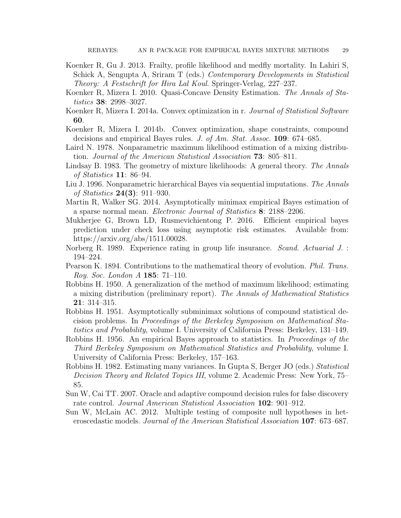- Koenker R, Gu J. 2013. Frailty, profile likelihood and medfly mortality. In Lahiri S, Schick A, Sengupta A, Sriram T (eds.) Contemporary Developments in Statistical Theory: A Festschrift for Hira Lal Koul. Springer-Verlag, 227–237.
- Koenker R, Mizera I. 2010. Quasi-Concave Density Estimation. The Annals of Statistics 38: 2998–3027.
- Koenker R, Mizera I. 2014a. Convex optimization in r. Journal of Statistical Software 60.
- Koenker R, Mizera I. 2014b. Convex optimization, shape constraints, compound decisions and empirical Bayes rules. J. of Am. Stat. Assoc. 109: 674–685.
- Laird N. 1978. Nonparametric maximum likelihood estimation of a mixing distribution. Journal of the American Statistical Association 73: 805–811.
- Lindsay B. 1983. The geometry of mixture likelihoods: A general theory. The Annals of Statistics 11: 86–94.
- Liu J. 1996. Nonparametric hierarchical Bayes via sequential imputations. The Annals of Statistics 24(3): 911–930.
- Martin R, Walker SG. 2014. Asymptotically minimax empirical Bayes estimation of a sparse normal mean. Electronic Journal of Statistics 8: 2188–2206.
- Mukherjee G, Brown LD, Rusmevichientong P. 2016. Efficient empirical bayes prediction under check loss using asymptotic risk estimates. Available from: https://arxiv.org/abs/1511.00028.
- Norberg R. 1989. Experience rating in group life insurance. Scand. Actuarial J. : 194–224.
- Pearson K. 1894. Contributions to the mathematical theory of evolution. Phil. Trans. Roy. Soc. London A 185: 71–110.
- Robbins H. 1950. A generalization of the method of maximum likelihood; estimating a mixing distribution (preliminary report). The Annals of Mathematical Statistics 21: 314–315.
- Robbins H. 1951. Asymptotically subminimax solutions of compound statistical decision problems. In Proceedings of the Berkeley Symposium on Mathematical Statistics and Probability, volume I. University of California Press: Berkeley, 131–149.
- Robbins H. 1956. An empirical Bayes approach to statistics. In Proceedings of the Third Berkeley Symposium on Mathematical Statistics and Probability, volume I. University of California Press: Berkeley, 157–163.
- Robbins H. 1982. Estimating many variances. In Gupta S, Berger JO (eds.) Statistical Decision Theory and Related Topics III, volume 2. Academic Press: New York, 75– 85.
- Sun W, Cai TT. 2007. Oracle and adaptive compound decision rules for false discovery rate control. Journal American Statistical Association 102: 901–912.
- Sun W, McLain AC. 2012. Multiple testing of composite null hypotheses in heteroscedastic models. Journal of the American Statistical Association 107: 673–687.